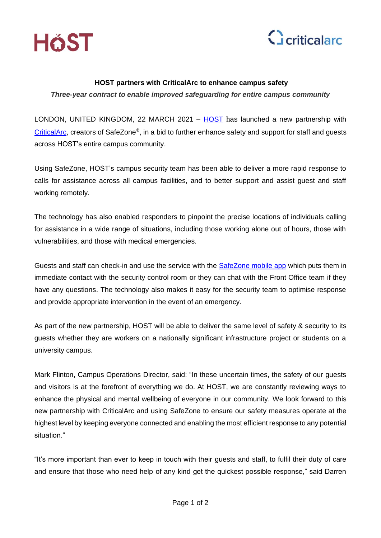



# **HOST partners with CriticalArc to enhance campus safety**

*Three-year contract to enable improved safeguarding for entire campus community*

LONDON, UNITED KINGDOM, 22 MARCH 2021 – [HOST](https://www.host-somerset.co.uk/) has launched a new partnership with [CriticalArc,](http://www.criticalarc.com/) creators of SafeZone®, in a bid to further enhance safety and support for staff and guests across HOST's entire campus community.

Using SafeZone, HOST's campus security team has been able to deliver a more rapid response to calls for assistance across all campus facilities, and to better support and assist guest and staff working remotely.

The technology has also enabled responders to pinpoint the precise locations of individuals calling for assistance in a wide range of situations, including those working alone out of hours, those with vulnerabilities, and those with medical emergencies.

Guests and staff can check-in and use the service with the [SafeZone mobile app](http://www.safezoneapp.com/) which puts them in immediate contact with the security control room or they can chat with the Front Office team if they have any questions. The technology also makes it easy for the security team to optimise response and provide appropriate intervention in the event of an emergency.

As part of the new partnership, HOST will be able to deliver the same level of safety & security to its guests whether they are workers on a nationally significant infrastructure project or students on a university campus.

Mark Flinton, Campus Operations Director, said: "In these uncertain times, the safety of our guests and visitors is at the forefront of everything we do. At HOST, we are constantly reviewing ways to enhance the physical and mental wellbeing of everyone in our community. We look forward to this new partnership with CriticalArc and using SafeZone to ensure our safety measures operate at the highest level by keeping everyone connected and enabling the most efficient response to any potential situation."

"It's more important than ever to keep in touch with their guests and staff, to fulfil their duty of care and ensure that those who need help of any kind get the quickest possible response," said Darren